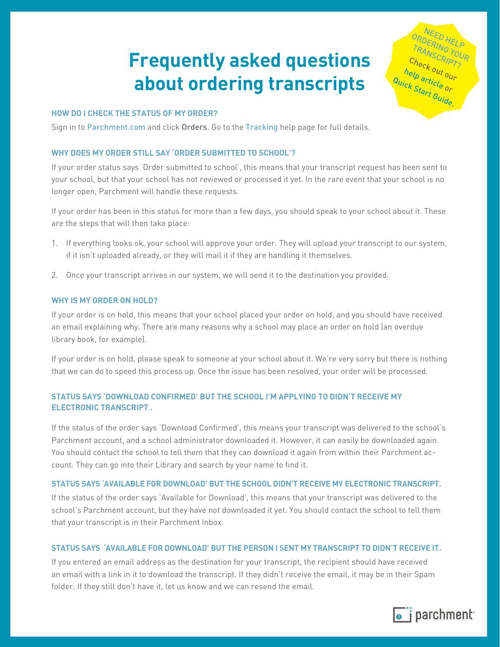# **Frequently asked questions about ordering transcripts**

## **HOW DO I CHECK THE STATUS OF MY ORDER?**

Sign in to [Parchment.com](http://www.parchment.com/) and click Orders. Go to the [Tracking](https://parchmentsupport.force.com/Article?id=kA1380000004KxoCAE&label=My%20Order&topic=My_Order_Learn&product=Learner) help page for full details.

# **WHY DOES MY ORDER STILL SAY 'ORDER SUBMITTED TO SCHOOL'?**

If your order status says 'Order submitted to school', this means that your transcript request has been sent to your school, but that your school has not reviewed or processed it yet. In the rare event that your school is no longer open, Parchment will handle these requests.

If your order has been in this status for more than a few days, you should speak to your school about it. These are the steps that will then take place:

- 1. If everything looks ok, your school will approve your order. They will upload your transcript to our system, if it isn't uploaded already, or they will mail it if they are handling it themselves.
- 2. Once your transcript arrives in our system, we will send it to the destination you provided.

## **WHY IS MY ORDER ON HOLD?**

If your order is on hold, this means that your school placed your order on hold, and you should have received an email explaining why. There are many reasons why a school may place an order on hold (an overdue library book, for example).

If your order is on hold, please speak to someone at your school about it. We're very sorry but there is nothing that we can do to speed this process up. Once the issue has been resolved, your order will be processed.

# **STATUS SAYS 'DOWNLOAD CONFIRMED' BUT THE SCHOOL I'M APPLYING TO DIDN'T RECEIVE MY ELECTRONIC TRANSCRIPT .**

If the status of the order says 'Download Confirmed', this means your transcript was delivered to the school's Parchment account, and a school administrator downloaded it. However, it can easily be downloaded again. You should contact the school to tell them that they can download it again from within their Parchment account. They can go into their Library and search by your name to find it.

# **STATUS SAYS 'AVAILABLE FOR DOWNLOAD' BUT THE SCHOOL DIDN'T RECEIVE MY ELECTRONIC TRANSCRIPT.**

If the status of the order says 'Available for Download', this means that your transcript was delivered to the school's Parchment account, but they have not downloaded it yet. You should contact the school to tell them that your transcript is in their Parchment Inbox.

# **STATUS SAYS 'AVAILABLE FOR DOWNLOAD' BUT THE PERSON I SENT MY TRANSCRIPT TO DIDN'T RECEIVE IT.**

If you entered an email address as the destination for your transcript, the recipient should have received an email with a link in it to download the transcript. If they didn't receive the email, it may be in their Spam folder. If they still don't have it, let us know and we can resend the email.



**1**

NEED HELP ORDERING HELP<br>TRANSCRIPTOUR TRANSCRIPT?<br>TRANSCRIPT? Ch<sub>eck out our</sub><br>elp <sub>artic</sub>e our [help article o](https://parchmentsupport.force.com/Article?id=kA1380000004KxZCAU&label=Getting%20Started&topic=Getting_Started_Learn&product=Learner)r<br><sup>C</sup>k Stan<sup>de</sup> or Quick Star[t Guide.](https://drive.google.com/open?id=0B8M-kYAsKiAkVndqWWp3azlCVTQ)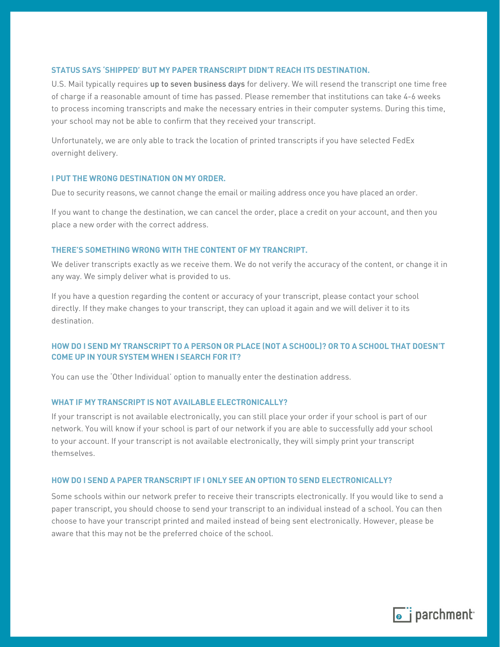# **STATUS SAYS 'SHIPPED' BUT MY PAPER TRANSCRIPT DIDN'T REACH ITS DESTINATION.**

U.S. Mail typically requires up to seven business days for delivery. We will resend the transcript one time free of charge if a reasonable amount of time has passed. Please remember that institutions can take 4-6 weeks to process incoming transcripts and make the necessary entries in their computer systems. During this time, your school may not be able to confirm that they received your transcript.

Unfortunately, we are only able to track the location of printed transcripts if you have selected FedEx overnight delivery.

#### **I PUT THE WRONG DESTINATION ON MY ORDER.**

Due to security reasons, we cannot change the email or mailing address once you have placed an order.

If you want to change the destination, we can cancel the order, place a credit on your account, and then you place a new order with the correct address.

## **THERE'S SOMETHING WRONG WITH THE CONTENT OF MY TRANCRIPT.**

We deliver transcripts exactly as we receive them. We do not verify the accuracy of the content, or change it in any way. We simply deliver what is provided to us.

If you have a question regarding the content or accuracy of your transcript, please contact your school directly. If they make changes to your transcript, they can upload it again and we will deliver it to its destination.

# **HOW DO I SEND MY TRANSCRIPT TO A PERSON OR PLACE (NOT A SCHOOL)? OR TO A SCHOOL THAT DOESN'T COME UP IN YOUR SYSTEM WHEN I SEARCH FOR IT?**

You can use the 'Other Individual' option to manually enter the destination address.

## **WHAT IF MY TRANSCRIPT IS NOT AVAILABLE ELECTRONICALLY?**

If your transcript is not available electronically, you can still place your order if your school is part of our network. You will know if your school is part of our network if you are able to successfully add your school to your account. If your transcript is not available electronically, they will simply print your transcript themselves.

## **HOW DO I SEND A PAPER TRANSCRIPT IF I ONLY SEE AN OPTION TO SEND ELECTRONICALLY?**

Some schools within our network prefer to receive their transcripts electronically. If you would like to send a paper transcript, you should choose to send your transcript to an individual instead of a school. You can then choose to have your transcript printed and mailed instead of being sent electronically. However, please be aware that this may not be the preferred choice of the school.